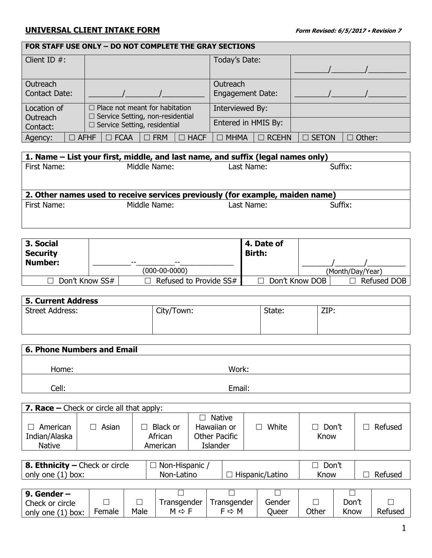## **UNIVERSAL CLIENT INTAKE FORM Form Revised: 6/5/2017 Revision 7**

| FOR STAFF USE ONLY - DO NOT COMPLETE THE GRAY SECTIONS |             |  |                                         |            |             |                         |              |              |                  |  |
|--------------------------------------------------------|-------------|--|-----------------------------------------|------------|-------------|-------------------------|--------------|--------------|------------------|--|
| Client ID $#$ :                                        |             |  |                                         |            |             | Today's Date:           |              |              |                  |  |
|                                                        |             |  |                                         |            |             |                         |              |              |                  |  |
| Outreach                                               |             |  |                                         |            |             | Outreach                |              |              |                  |  |
| Contact Date:                                          |             |  |                                         |            |             | <b>Engagement Date:</b> |              |              |                  |  |
| Location of                                            |             |  | $\Box$ Place not meant for habitation   |            |             | Interviewed By:         |              |              |                  |  |
| Outreach                                               |             |  | $\Box$ Service Setting, non-residential |            |             |                         |              |              |                  |  |
| Contact:                                               |             |  | $\Box$ Service Setting, residential     |            |             | Entered in HMIS By:     |              |              |                  |  |
| Agency:                                                | $\Box$ AFHF |  | $\Box$ FCAA                             | $\Box$ FRM | $\Box$ HACF | $\Box$ MHMA             | $\Box$ RCEHN | $\Box$ SETON | Other:<br>$\Box$ |  |

| 1. Name – List your first, middle, and last name, and suffix (legal names only) |                                                                               |            |         |  |  |  |  |
|---------------------------------------------------------------------------------|-------------------------------------------------------------------------------|------------|---------|--|--|--|--|
| First Name:                                                                     | Middle Name:                                                                  | Last Name: | Suffix: |  |  |  |  |
|                                                                                 |                                                                               |            |         |  |  |  |  |
|                                                                                 |                                                                               |            |         |  |  |  |  |
|                                                                                 | 2. Other names used to receive services previously (for example, maiden name) |            |         |  |  |  |  |
| First Name:                                                                     | Middle Name:                                                                  | Last Name: | Suffix: |  |  |  |  |
|                                                                                 |                                                                               |            |         |  |  |  |  |

| 3. Social<br><b>Security</b> |                                 | 4. Date of<br><b>Birth:</b> |                |                  |
|------------------------------|---------------------------------|-----------------------------|----------------|------------------|
| <b>Number:</b>               | $- -$<br>$- -$<br>(000-00-0000) |                             |                | (Month/Day/Year) |
| Don't Know SS#               | Refused to Provide SS#          |                             | Don't Know DOB | Refused DOB      |

| <b>5. Current Address</b> |            |        |      |
|---------------------------|------------|--------|------|
| <b>Street Address:</b>    | City/Town: | State: | ZIP: |
|                           |            |        |      |
|                           |            |        |      |

| <b>6. Phone Numbers and Email</b> |        |  |  |  |  |  |
|-----------------------------------|--------|--|--|--|--|--|
| Home:                             | Work:  |  |  |  |  |  |
| Cell:                             | Email: |  |  |  |  |  |

| <b>7. Race –</b> Check or circle all that apply: |       |                                 |                                                           |       |                    |         |  |  |
|--------------------------------------------------|-------|---------------------------------|-----------------------------------------------------------|-------|--------------------|---------|--|--|
| American<br>Indian/Alaska<br><b>Native</b>       | Asian | Black or<br>African<br>American | Native<br>Hawaiian or<br>Other Pacific<br><b>Islander</b> | White | Don't<br>П<br>Know | Refused |  |  |

| 8. Ethnicity – Check or circle | Non-Hispanic |                 | Don't |         |
|--------------------------------|--------------|-----------------|-------|---------|
| only one (1)<br>box:           | Non-Latino   | Hispanic/Latino | Know  | Refused |

| 9. Gender $-$     |        |      |                       |                   |        |       |       |         |
|-------------------|--------|------|-----------------------|-------------------|--------|-------|-------|---------|
| Check or circle   |        |      | l ransgender          | Fransgender       | Gender |       | Don't |         |
| only one (1) box: | Female | Male | $M \Leftrightarrow F$ | $F \Rightarrow M$ | Jueer  | Other | Know  | Refusec |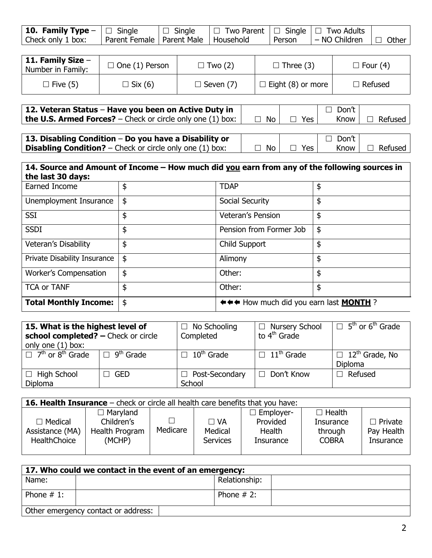| <b>10. Family Type</b> $-\Box$ Single $\Box$ Single $\Box$ Two Parent $\Box$ Single $\Box$ Two Adults |                                         |  |                                                               |  |
|-------------------------------------------------------------------------------------------------------|-----------------------------------------|--|---------------------------------------------------------------|--|
| Check only 1 box:                                                                                     | Parent Female   Parent Male   Household |  | $\mid$ Person $\mid$ – NO Children $\mid$ $\Box$ Other $\mid$ |  |

| $\,$ 11. Family Size $-$<br>Number in Family: | $\Box$ One (1) Person | $\Box$ Two (2)   | $\Box$ Three (3)         | $\Box$ Four (4) |
|-----------------------------------------------|-----------------------|------------------|--------------------------|-----------------|
| $\Box$ Five (5)                               | $\Box$ Six (6)        | $\Box$ Seven (7) | $\Box$ Eight (8) or more | $\Box$ Refused  |

| 12. Veteran Status - Have you been on Active Duty in                      |      |            | Don't  |                  |
|---------------------------------------------------------------------------|------|------------|--------|------------------|
| <b>the U.S. Armed Forces?</b> – Check or circle only one (1) box: $\vert$ | No l | $\Box$ Yes | Know I | $\Box$ Refused I |
|                                                                           |      |            |        |                  |

| 13. Disabling Condition $-$ Do you have a Disability or           |       |            | □ Don't ' |                     |
|-------------------------------------------------------------------|-------|------------|-----------|---------------------|
| <b>Disabling Condition?</b> – Check or circle only one $(1)$ box: | ∣ No∣ | $\Box$ Yes |           | Know $\Box$ Refused |

| 14. Source and Amount of Income – How much did you earn from any of the following sources in |    |                                               |    |  |  |
|----------------------------------------------------------------------------------------------|----|-----------------------------------------------|----|--|--|
| the last 30 days:                                                                            |    |                                               |    |  |  |
| Earned Income                                                                                | \$ | <b>TDAP</b>                                   | \$ |  |  |
| Unemployment Insurance                                                                       | \$ | Social Security                               | \$ |  |  |
| <b>SSI</b>                                                                                   | \$ | <b>Veteran's Pension</b>                      | \$ |  |  |
| <b>SSDI</b>                                                                                  | \$ | Pension from Former Job                       | \$ |  |  |
| Veteran's Disability                                                                         | \$ | Child Support                                 | \$ |  |  |
| Private Disability Insurance                                                                 | \$ | Alimony                                       | \$ |  |  |
| <b>Worker's Compensation</b>                                                                 | \$ | Other:                                        | \$ |  |  |
| <b>TCA or TANF</b>                                                                           | \$ | Other:                                        | \$ |  |  |
| <b>Total Monthly Income:</b>                                                                 | \$ | ←←← How much did you earn last <b>MONTH</b> ? |    |  |  |

| 15. What is the highest level of<br>school completed? - Check or circle<br>only one (1) box: |     | $\Box$ No Schooling<br>Completed    | $\Box$ Nursery School<br>to 4 <sup>th</sup> Grade | $\Box$ 5 <sup>th</sup> or 6 <sup>th</sup> Grade |
|----------------------------------------------------------------------------------------------|-----|-------------------------------------|---------------------------------------------------|-------------------------------------------------|
| $\Box$ 7 <sup>th</sup> or 8 <sup>th</sup> Grade $\Box$ 9 <sup>th</sup> Grade                 |     | 10 <sup>th</sup> Grade<br>$\Box$    | $\Box$ 11 <sup>th</sup> Grade                     | $\Box$ 12 <sup>th</sup> Grade, No<br>Diploma    |
| $\Box$ High School<br>Diploma                                                                | GED | Post-Secondary<br>$\perp$<br>School | $\Box$ Don't Know                                 | Refused                                         |

| <b>16. Health Insurance</b> – check or circle all health care benefits that you have: |                                        |          |                                         |                                 |                                      |                                           |
|---------------------------------------------------------------------------------------|----------------------------------------|----------|-----------------------------------------|---------------------------------|--------------------------------------|-------------------------------------------|
|                                                                                       | $\Box$ Maryland                        |          |                                         | $\Box$ Employer-                | $\Box$ Health                        |                                           |
| $\Box$ Medical<br>Assistance (MA)<br><b>HealthChoice</b>                              | Children's<br>Health Program<br>(MCHP) | Medicare | $\Box$ VA<br>Medical<br><b>Services</b> | Provided<br>Health<br>Insurance | Insurance<br>through<br><b>COBRA</b> | $\Box$ Private<br>Pay Health<br>Insurance |

| 17. Who could we contact in the event of an emergency: |                                     |               |  |
|--------------------------------------------------------|-------------------------------------|---------------|--|
| Name:                                                  |                                     | Relationship: |  |
| Phone $# 1$ :                                          |                                     | Phone $# 2$ : |  |
|                                                        | Other emergency contact or address: |               |  |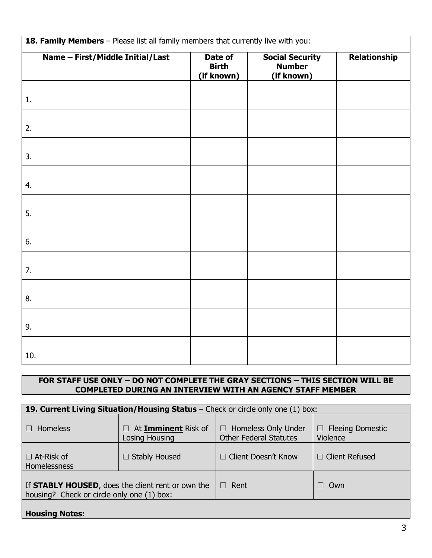| 18. Family Members - Please list all family members that currently live with you: |                                       |                                                       |              |  |  |
|-----------------------------------------------------------------------------------|---------------------------------------|-------------------------------------------------------|--------------|--|--|
| Name - First/Middle Initial/Last                                                  | Date of<br><b>Birth</b><br>(if known) | <b>Social Security</b><br><b>Number</b><br>(if known) | Relationship |  |  |
| 1.                                                                                |                                       |                                                       |              |  |  |
| 2.                                                                                |                                       |                                                       |              |  |  |
| 3.                                                                                |                                       |                                                       |              |  |  |
| 4.                                                                                |                                       |                                                       |              |  |  |
| 5.                                                                                |                                       |                                                       |              |  |  |
| 6.                                                                                |                                       |                                                       |              |  |  |
| 7.                                                                                |                                       |                                                       |              |  |  |
| 8.                                                                                |                                       |                                                       |              |  |  |
| 9.                                                                                |                                       |                                                       |              |  |  |
| 10.                                                                               |                                       |                                                       |              |  |  |

## **FOR STAFF USE ONLY – DO NOT COMPLETE THE GRAY SECTIONS – THIS SECTION WILL BE COMPLETED DURING AN INTERVIEW WITH AN AGENCY STAFF MEMBER**

| <b>19. Current Living Situation/Housing Status</b> – Check or circle only one $(1)$ box:        |                                                  |                                                             |                                     |  |  |
|-------------------------------------------------------------------------------------------------|--------------------------------------------------|-------------------------------------------------------------|-------------------------------------|--|--|
| <b>Homeless</b>                                                                                 | At Imminent Risk of<br>$\perp$<br>Losing Housing | $\Box$ Homeless Only Under<br><b>Other Federal Statutes</b> | $\Box$ Fleeing Domestic<br>Violence |  |  |
| $\Box$ At-Risk of<br>Homelessness                                                               | <b>Stably Housed</b><br>$\Box$                   | $\Box$ Client Doesn't Know                                  | $\Box$ Client Refused               |  |  |
| If STABLY HOUSED, does the client rent or own the<br>housing? Check or circle only one (1) box: |                                                  | Rent<br>$\Box$                                              | Own                                 |  |  |
| <b>Housing Notes:</b>                                                                           |                                                  |                                                             |                                     |  |  |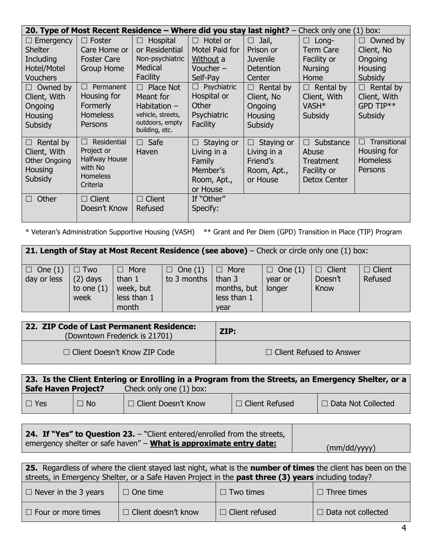|                                                                                | 20. Type of Most Recent Residence - Where did you stay<br>last night? $-$<br>Check only one (1) box: |                                                                                                              |                                                                                 |                                                                            |                                                                      |                                                                     |
|--------------------------------------------------------------------------------|------------------------------------------------------------------------------------------------------|--------------------------------------------------------------------------------------------------------------|---------------------------------------------------------------------------------|----------------------------------------------------------------------------|----------------------------------------------------------------------|---------------------------------------------------------------------|
| $\Box$ Emergency                                                               | $\Box$ Foster                                                                                        | Hospital<br>$\Box$                                                                                           | Hotel or<br>$\Box$                                                              | Jail,<br>H.                                                                | $\Box$ Long-                                                         | Owned by<br>$\Box$                                                  |
| <b>Shelter</b>                                                                 | Care Home or                                                                                         | or Residential                                                                                               | Motel Paid for                                                                  | Prison or                                                                  | Term Care                                                            | Client, No                                                          |
| Including                                                                      | <b>Foster Care</b>                                                                                   | Non-psychiatric                                                                                              | Without a                                                                       | <b>Juvenile</b>                                                            | Facility or                                                          | Ongoing                                                             |
| Hotel/Motel                                                                    | <b>Group Home</b>                                                                                    | Medical                                                                                                      | Voucher $-$                                                                     | Detention                                                                  | <b>Nursing</b>                                                       | <b>Housing</b>                                                      |
| <b>Vouchers</b>                                                                |                                                                                                      | Facility                                                                                                     | Self-Pay                                                                        | Center                                                                     | Home                                                                 | Subsidy                                                             |
| $\Box$ Owned by<br>Client, With<br>Ongoing<br>Housing<br>Subsidy               | Permanent<br>$\Box$<br>Housing for<br>Formerly<br><b>Homeless</b><br>Persons                         | Place Not<br>$\Box$<br>Meant for<br>Habitation $-$<br>vehicle, streets,<br>outdoors, empty<br>building, etc. | Psychiatric<br>$\Box$<br>Hospital or<br>Other<br>Psychiatric<br>Facility        | Rental by<br>$\Box$<br>Client, No<br>Ongoing<br>Housing<br>Subsidy         | Rental by<br>П<br>Client, With<br>VASH <sup>*</sup><br>Subsidy       | Rental by<br>П<br>Client, With<br>GPD TIP**<br>Subsidy              |
| $\Box$ Rental by<br>Client, With<br><b>Other Ongoing</b><br>Housing<br>Subsidy | Residential<br>$\Box$<br>Project or<br>Halfway House<br>with No<br><b>Homeless</b><br>Criteria       | $\Box$ Safe<br>Haven                                                                                         | Staying or<br>П<br>Living in a<br>Family<br>Member's<br>Room, Apt.,<br>or House | Staying or<br>$\Box$<br>Living in a<br>Friend's<br>Room, Apt.,<br>or House | Substance<br>П.<br>Abuse<br>Treatment<br>Facility or<br>Detox Center | Transitional<br>$\Box$<br>Housing for<br><b>Homeless</b><br>Persons |
| Other<br>П                                                                     | $\Box$ Client<br>Doesn't Know                                                                        | $\Box$ Client<br>Refused                                                                                     | If "Other"<br>Specify:                                                          |                                                                            |                                                                      |                                                                     |

\* Veteran's Administration Supportive Housing (VASH) \*\* Grant and Per Diem (GPD) Transition in Place (TIP) Program

| <b>21. Length of Stay at Most Recent Residence (see above)</b> – Check or circle only one (1) box: |                                                     |                                                              |                                              |                                                   |                                     |                                  |                          |
|----------------------------------------------------------------------------------------------------|-----------------------------------------------------|--------------------------------------------------------------|----------------------------------------------|---------------------------------------------------|-------------------------------------|----------------------------------|--------------------------|
| $\Box$ One (1)<br>day or less                                                                      | $\square$ Two<br>$(2)$ days<br>to one $(1)$<br>week | $\Box$ More<br>than $1$<br>week, but<br>less than 1<br>month | $\Box$ One (1)<br>to 3 months $\vert$ than 3 | $\Box$ More<br>months, but<br>less than 1<br>vear | $\Box$ One (1)<br>vear or<br>longer | $\Box$ Client<br>Doesn't<br>Know | $\Box$ Client<br>Refused |

| 22. ZIP Code of Last Permanent Residence:<br>(Downtown Frederick is 21701) | ZIP:                            |  |
|----------------------------------------------------------------------------|---------------------------------|--|
| $\Box$ Client Doesn't Know ZIP Code                                        | $\Box$ Client Refused to Answer |  |

| 23. Is the Client Entering or Enrolling in a Program from the Streets, an Emergency Shelter, or a |           |                         |                  |                           |  |
|---------------------------------------------------------------------------------------------------|-----------|-------------------------|------------------|---------------------------|--|
| <b>Safe Haven Project?</b>                                                                        |           | Check only one (1) box: |                  |                           |  |
| $\Box$ Yes                                                                                        | $\Box$ No | U □ Client Doesn't Know | □ Client Refused | $\Box$ Data Not Collected |  |

| <b>24. If "Yes" to Question 23.</b> – "Client entered/enrolled from the streets, |              |
|----------------------------------------------------------------------------------|--------------|
| emergency shelter or safe haven" - <b>What is approximate entry date:</b>        | (mm/dd/yyyy) |

| 25. Regardless of where the client stayed last night, what is the <b>number of times</b> the client has been on the |                            |                       |                           |  |  |
|---------------------------------------------------------------------------------------------------------------------|----------------------------|-----------------------|---------------------------|--|--|
| streets, in Emergency Shelter, or a Safe Haven Project in the past three (3) years including today?                 |                            |                       |                           |  |  |
| $\Box$ Never in the 3 years                                                                                         | $\Box$ One time            | $\Box$ Two times      | $\Box$ Three times        |  |  |
| $\Box$ Four or more times                                                                                           | $\Box$ Client doesn't know | $\Box$ Client refused | $\Box$ Data not collected |  |  |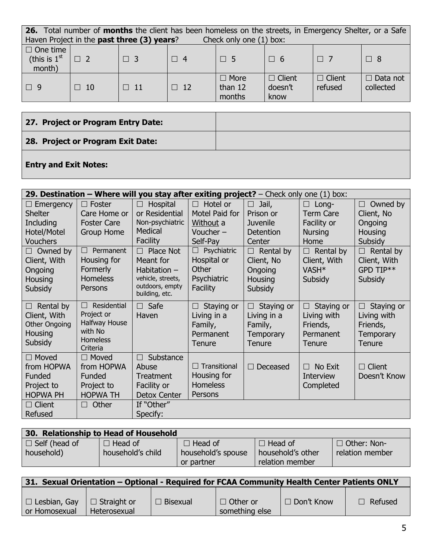| 26. Total number of months the client has been homeless on the streets, in Emergency Shelter, or a Safe |           |           |           |                                  |                                  |                          |                              |  |
|---------------------------------------------------------------------------------------------------------|-----------|-----------|-----------|----------------------------------|----------------------------------|--------------------------|------------------------------|--|
| Haven Project in the past three (3) years?<br>Check only one (1) box:                                   |           |           |           |                                  |                                  |                          |                              |  |
| $\Box$ One time<br>(this is $1st$<br>month)                                                             | $\Box$ 2  | $\Box$ 3  | $\Box$ 4  | $\Box$ 5                         | T 6                              | $\Box$ 7                 | $\Box$ 8                     |  |
| $\Box$ 9                                                                                                | $\Box$ 10 | $\Box$ 11 | $\Box$ 12 | $\Box$ More<br>than 12<br>months | $\Box$ Client<br>doesn't<br>know | $\Box$ Client<br>refused | $\Box$ Data not<br>collected |  |

# **27. Project or Program Entry Date: 28. Project or Program Exit Date: Entry and Exit Notes:**

### **29. Destination – Where will you stay after exiting project?** – Check only one (1) box:  $\square$  Emergency Shelter **Including** Hotel/Motel **Vouchers**  $\Box$  Foster Care Home or Foster Care Group Home  $\Box$  Hospital or Residential Non-psychiatric **Medical Facility**  $\Box$  Hotel or Motel Paid for Without a Voucher – Self-Pay  $\Box$  Jail, Prison or Juvenile **Detention Center**  Long-Term Care Facility or **Nursing** Home  $\Box$  Owned by Client, No Ongoing **Housing Subsidy**  $\Box$  Owned by Client, With Ongoing **Housing Subsidy**  $\Box$  Permanent Housing for Formerly **Homeless Persons**  $\Box$  Place Not Meant for Habitation – vehicle, streets, outdoors, empty building, etc.  $\Box$  Psychiatric Hospital or **Other Psychiatric Facility**  $\Box$  Rental by Client, No Ongoing **Housing Subsidy**  $\Box$  Rental by Client, With VASH\* **Subsidy**  $\Box$  Rental by Client, With GPD TIP\*\* **Subsidy**  $\Box$  Rental by Client, With Other Ongoing **Housing Subsidy**  $\Box$  Residential Project or Halfway House with No **Homeless Criteria**  $\Box$  Safe Haven  $\Box$  Staying or Living in a Family, Permanent **Tenure**  $\Box$  Staying or Living in a Family, **Temporary Tenure**  $\Box$  Staying or Living with Friends, Permanent **Tenure**  $\Box$  Staying or Living with Friends, **Temporary Tenure**  $\square$  Moved from HOPWA Funded Project to HOPWA PH  $\square$  Moved from HOPWA Funded Project to HOPWA TH  $\Box$  Substance Abuse **Treatment** Facility or Detox Center  $\Box$  Transitional Housing for Homeless **Persons**  $\Box$  Deceased  $\Box$  No Exit **Interview Completed**  $\Box$  Client Doesn't Know  $\Box$  Client Refused  $\Box$  Other  $\Box$  If "Other" Specify:

| 30. Relationship to Head of Household |                   |                    |                   |                    |  |  |  |  |
|---------------------------------------|-------------------|--------------------|-------------------|--------------------|--|--|--|--|
| $\Box$ Self (head of                  | $\Box$ Head of    | $\Box$ Head of     | $\Box$ Head of    | $\Box$ Other: Non- |  |  |  |  |
| household)                            | household's child | household's spouse | household's other | relation member    |  |  |  |  |
|                                       |                   | or partner         | relation member   |                    |  |  |  |  |

| 31. Sexual Orientation – Optional - Required for FCAA Community Health Center Patients ONLY |              |                 |                                   |                   |                |  |  |
|---------------------------------------------------------------------------------------------|--------------|-----------------|-----------------------------------|-------------------|----------------|--|--|
| $\Box$ Lesbian, Gay $\Box$ Straight or<br>or Homosexual                                     | Heterosexual | $\Box$ Bisexual | $\Box$ Other or<br>something else | $\Box$ Don't Know | $\Box$ Refused |  |  |